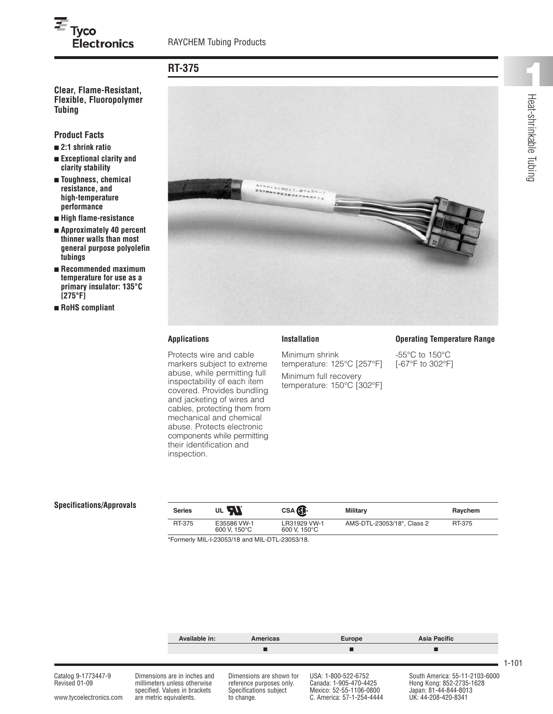# $\overline{\boldsymbol{\varepsilon}}_{\mathsf{Tyco}}$ **Electronics**

# **RT-375**

**Flexible, Fluoropolymer Tubing**

**Product Facts**

- **■ 2:1 shrink ratio**
- **■ Exceptional clarity and clarity stability**
- **■ Toughness, chemical resistance, and high-temperature performance**
- **■ High flame-resistance**
- **■ Approximately 40 percent thinner walls than most general purpose polyolefin tubings**
- **■ Recommended maximum temperature for use as a primary insulator: 135°C [275°F]**
- **■ RoHS compliant**



#### **Applications**

Protects wire and cable markers subject to extreme abuse, while permitting full inspectability of each item covered. Provides bundling and jacketing of wires and cables, protecting them from mechanical and chemical abuse. Protects electronic components while permitting their identification and inspection.

## **Installation**

Minimum shrink temperature: 125°C [257°F] Minimum full recovery temperature: 150°C [302°F]

#### **Operating Temperature Range**

-55°C to 150°C [-67°F to 302°F]

#### **Specifications/Approvals**

| <b>Series</b> | UL <b>FAL</b>                                | CSA <b>SP</b>                | Military                   | Ravchem |
|---------------|----------------------------------------------|------------------------------|----------------------------|---------|
| RT-375        | E35586 VW-1<br>600 V. 150°C                  | LR31929 VW-1<br>600 V. 150°C | AMS-DTL-23053/18*, Class 2 | RT-375  |
|               | *Formarly MIL 193053/18 and MIL DTL 93053/18 |                              |                            |         |

\*Formerly MIL-I-23053/18 and MIL-DTL-23053/18.